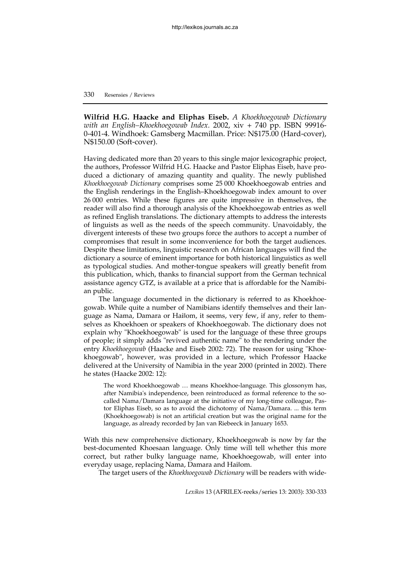## 330 Resensies / Reviews

**Wilfrid H.G. Haacke and Eliphas Eiseb.** *A Khoekhoegowab Dictionary with an English–Khoekhoegowab Index.* 2002, xiv + 740 pp*.* ISBN 99916- 0-401-4. Windhoek: Gamsberg Macmillan. Price: N\$175.00 (Hard-cover), N\$150.00 (Soft-cover).

Having dedicated more than 20 years to this single major lexicographic project, the authors, Professor Wilfrid H.G. Haacke and Pastor Eliphas Eiseb, have produced a dictionary of amazing quantity and quality. The newly published *Khoekhoegowab Dictionary* comprises some 25 000 Khoekhoegowab entries and the English renderings in the English–Khoekhoegowab index amount to over 26 000 entries. While these figures are quite impressive in themselves, the reader will also find a thorough analysis of the Khoekhoegowab entries as well as refined English translations. The dictionary attempts to address the interests of linguists as well as the needs of the speech community. Unavoidably, the divergent interests of these two groups force the authors to accept a number of compromises that result in some inconvenience for both the target audiences. Despite these limitations, linguistic research on African languages will find the dictionary a source of eminent importance for both historical linguistics as well as typological studies. And mother-tongue speakers will greatly benefit from this publication, which, thanks to financial support from the German technical assistance agency GTZ, is available at a price that is affordable for the Namibian public.

The language documented in the dictionary is referred to as Khoekhoegowab. While quite a number of Namibians identify themselves and their language as Nama, Damara or Haillom, it seems, very few, if any, refer to themselves as Khoekhoen or speakers of Khoekhoegowab. The dictionary does not explain why "Khoekhoegowab" is used for the language of these three groups of people; it simply adds "revived authentic name" to the rendering under the entry *Khoekhoegowab* (Haacke and Eiseb 2002: 72). The reason for using "Khoekhoegowab", however, was provided in a lecture, which Professor Haacke delivered at the University of Namibia in the year 2000 (printed in 2002). There he states (Haacke 2002: 12):

The word Khoekhoegowab … means Khoekhoe-language. This glossonym has, after Namibia's independence, been reintroduced as formal reference to the socalled Nama/Damara language at the initiative of my long-time colleague, Pastor Eliphas Eiseb, so as to avoid the dichotomy of Nama/Damara. ... this term (Khoekhoegowab) is not an artificial creation but was the original name for the language, as already recorded by Jan van Riebeeck in January 1653.

With this new comprehensive dictionary, Khoekhoegowab is now by far the best-documented Khoesaan language. Only time will tell whether this more correct, but rather bulky language name, Khoekhoegowab, will enter into everyday usage, replacing Nama, Damara and Haillom.

The target users of the *Khoekhoegowab Dictionary* will be readers with wide-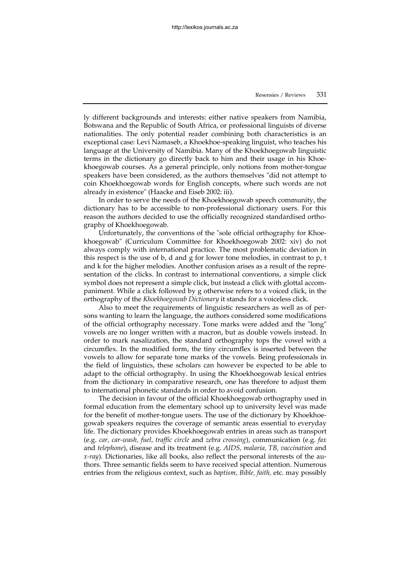ly different backgrounds and interests: either native speakers from Namibia, Botswana and the Republic of South Africa, or professional linguists of diverse nationalities. The only potential reader combining both characteristics is an exceptional case: Levi Namaseb, a Khoekhoe-speaking linguist, who teaches his language at the University of Namibia. Many of the Khoekhoegowab linguistic terms in the dictionary go directly back to him and their usage in his Khoekhoegowab courses. As a general principle, only notions from mother-tongue speakers have been considered, as the authors themselves "did not attempt to coin Khoekhoegowab words for English concepts, where such words are not already in existence" (Haacke and Eiseb 2002: iii).

In order to serve the needs of the Khoekhoegowab speech community, the dictionary has to be accessible to non-professional dictionary users. For this reason the authors decided to use the officially recognized standardised orthography of Khoekhoegowab.

Unfortunately, the conventions of the "sole official orthography for Khoekhoegowab" (Curriculum Committee for Khoekhoegowab 2002: xiv) do not always comply with international practice. The most problematic deviation in this respect is the use of b, d and g for lower tone melodies, in contrast to  $p$ ,  $t$ and k for the higher melodies. Another confusion arises as a result of the representation of the clicks. In contrast to international conventions, a simple click symbol does not represent a simple click, but instead a click with glottal accompaniment. While a click followed by g otherwise refers to a voiced click, in the orthography of the *Khoekhoegowab Dictionary* it stands for a voiceless click.

Also to meet the requirements of linguistic researchers as well as of persons wanting to learn the language, the authors considered some modifications of the official orthography necessary. Tone marks were added and the "long" vowels are no longer written with a macron, but as double vowels instead. In order to mark nasalization, the standard orthography tops the vowel with a circumflex. In the modified form, the tiny circumflex is inserted between the vowels to allow for separate tone marks of the vowels. Being professionals in the field of linguistics, these scholars can however be expected to be able to adapt to the official orthography. In using the Khoekhoegowab lexical entries from the dictionary in comparative research, one has therefore to adjust them to international phonetic standards in order to avoid confusion.

The decision in favour of the official Khoekhoegowab orthography used in formal education from the elementary school up to university level was made for the benefit of mother-tongue users. The use of the dictionary by Khoekhoegowab speakers requires the coverage of semantic areas essential to everyday life. The dictionary provides Khoekhoegowab entries in areas such as transport (e.g. *car, car-wash, fuel, traffic circle* and *zebra crossing*), communication (e.g. *fax* and *telephone*), disease and its treatment (e.g. *AIDS, malaria, TB, vaccination* and *x-ray*). Dictionaries, like all books, also reflect the personal interests of the authors. Three semantic fields seem to have received special attention. Numerous entries from the religious context, such as *baptism, Bible, faith,* etc. may possibly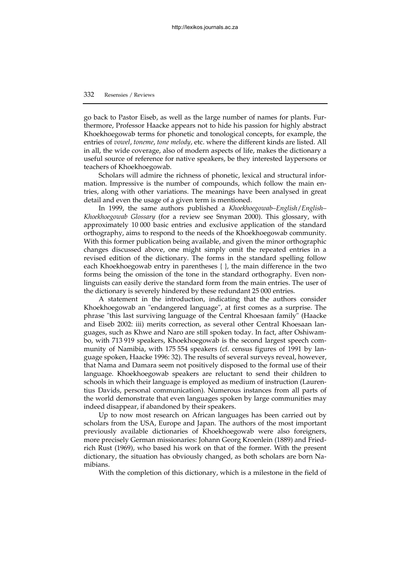## 332 Resensies / Reviews

go back to Pastor Eiseb, as well as the large number of names for plants. Furthermore, Professor Haacke appears not to hide his passion for highly abstract Khoekhoegowab terms for phonetic and tonological concepts, for example, the entries of *vowel*, *toneme*, *tone melody*, etc. where the different kinds are listed. All in all, the wide coverage, also of modern aspects of life, makes the dictionary a useful source of reference for native speakers, be they interested laypersons or teachers of Khoekhoegowab.

Scholars will admire the richness of phonetic, lexical and structural information. Impressive is the number of compounds, which follow the main entries, along with other variations. The meanings have been analysed in great detail and even the usage of a given term is mentioned.

In 1999, the same authors published a *Khoekhoegowab–English*/*English– Khoekhoegowab Glossary* (for a review see Snyman 2000). This glossary, with approximately 10 000 basic entries and exclusive application of the standard orthography, aims to respond to the needs of the Khoekhoegowab community. With this former publication being available, and given the minor orthographic changes discussed above, one might simply omit the repeated entries in a revised edition of the dictionary. The forms in the standard spelling follow each Khoekhoegowab entry in parentheses { }, the main difference in the two forms being the omission of the tone in the standard orthography. Even nonlinguists can easily derive the standard form from the main entries. The user of the dictionary is severely hindered by these redundant 25 000 entries.

A statement in the introduction, indicating that the authors consider Khoekhoegowab an "endangered language", at first comes as a surprise. The phrase "this last surviving language of the Central Khoesaan family" (Haacke and Eiseb 2002: iii) merits correction, as several other Central Khoesaan languages, such as Khwe and Naro are still spoken today. In fact, after Oshiwambo, with 713 919 speakers, Khoekhoegowab is the second largest speech community of Namibia, with 175 554 speakers (cf. census figures of 1991 by language spoken, Haacke 1996: 32). The results of several surveys reveal, however, that Nama and Damara seem not positively disposed to the formal use of their language. Khoekhoegowab speakers are reluctant to send their children to schools in which their language is employed as medium of instruction (Laurentius Davids, personal communication). Numerous instances from all parts of the world demonstrate that even languages spoken by large communities may indeed disappear, if abandoned by their speakers.

Up to now most research on African languages has been carried out by scholars from the USA, Europe and Japan. The authors of the most important previously available dictionaries of Khoekhoegowab were also foreigners, more precisely German missionaries: Johann Georg Kroenlein (1889) and Friedrich Rust (1969), who based his work on that of the former. With the present dictionary, the situation has obviously changed, as both scholars are born Namibians.

With the completion of this dictionary, which is a milestone in the field of